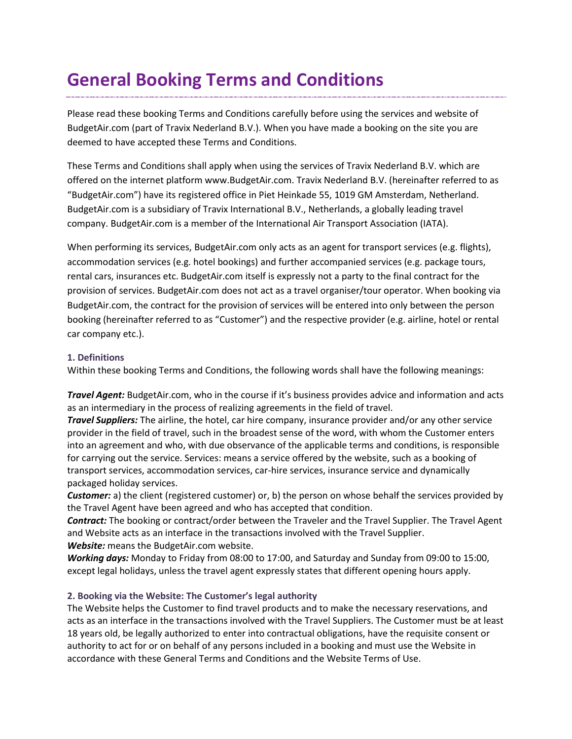# **General Booking Terms and Conditions**

Please read these booking Terms and Conditions carefully before using the services and website of BudgetAir.com (part of Travix Nederland B.V.). When you have made a booking on the site you are deemed to have accepted these Terms and Conditions.

These Terms and Conditions shall apply when using the services of Travix Nederland B.V. which are offered on the internet platform www.BudgetAir.com. Travix Nederland B.V. (hereinafter referred to as "BudgetAir.com") have its registered office in Piet Heinkade 55, 1019 GM Amsterdam, Netherland. BudgetAir.com is a subsidiary of Travix International B.V., Netherlands, a globally leading travel company. BudgetAir.com is a member of the International Air Transport Association (IATA).

When performing its services, BudgetAir.com only acts as an agent for transport services (e.g. flights), accommodation services (e.g. hotel bookings) and further accompanied services (e.g. package tours, rental cars, insurances etc. BudgetAir.com itself is expressly not a party to the final contract for the provision of services. BudgetAir.com does not act as a travel organiser/tour operator. When booking via BudgetAir.com, the contract for the provision of services will be entered into only between the person booking (hereinafter referred to as "Customer") and the respective provider (e.g. airline, hotel or rental car company etc.).

#### **1. Definitions**

Within these booking Terms and Conditions, the following words shall have the following meanings:

*Travel Agent:* BudgetAir.com, who in the course if it's business provides advice and information and acts as an intermediary in the process of realizing agreements in the field of travel.

*Travel Suppliers:* The airline, the hotel, car hire company, insurance provider and/or any other service provider in the field of travel, such in the broadest sense of the word, with whom the Customer enters into an agreement and who, with due observance of the applicable terms and conditions, is responsible for carrying out the service. Services: means a service offered by the website, such as a booking of transport services, accommodation services, car-hire services, insurance service and dynamically packaged holiday services.

*Customer:* a) the client (registered customer) or, b) the person on whose behalf the services provided by the Travel Agent have been agreed and who has accepted that condition.

*Contract:* The booking or contract/order between the Traveler and the Travel Supplier. The Travel Agent and Website acts as an interface in the transactions involved with the Travel Supplier. *Website:* means the BudgetAir.com website.

*Working days:* Monday to Friday from 08:00 to 17:00, and Saturday and Sunday from 09:00 to 15:00, except legal holidays, unless the travel agent expressly states that different opening hours apply.

## **2. Booking via the Website: The Customer's legal authority**

The Website helps the Customer to find travel products and to make the necessary reservations, and acts as an interface in the transactions involved with the Travel Suppliers. The Customer must be at least 18 years old, be legally authorized to enter into contractual obligations, have the requisite consent or authority to act for or on behalf of any persons included in a booking and must use the Website in accordance with these General Terms and Conditions and the Website Terms of Use.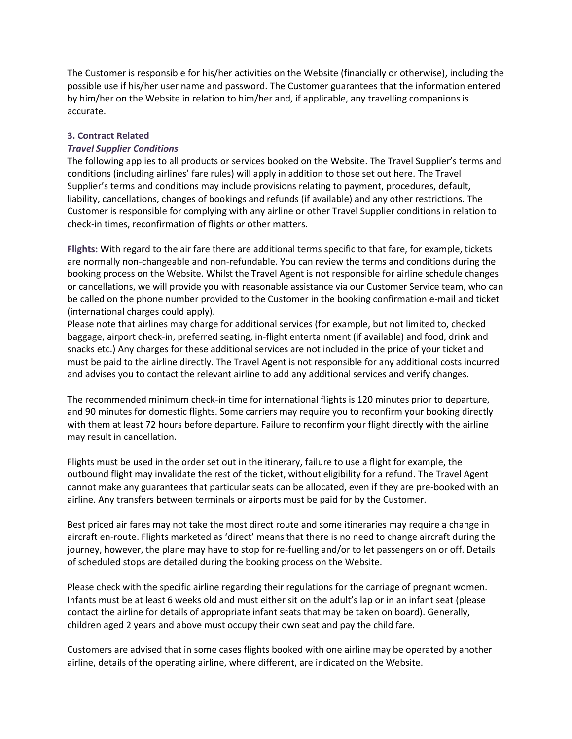The Customer is responsible for his/her activities on the Website (financially or otherwise), including the possible use if his/her user name and password. The Customer guarantees that the information entered by him/her on the Website in relation to him/her and, if applicable, any travelling companions is accurate.

#### **3. Contract Related**

#### *Travel Supplier Conditions*

The following applies to all products or services booked on the Website. The Travel Supplier's terms and conditions (including airlines' fare rules) will apply in addition to those set out here. The Travel Supplier's terms and conditions may include provisions relating to payment, procedures, default, liability, cancellations, changes of bookings and refunds (if available) and any other restrictions. The Customer is responsible for complying with any airline or other Travel Supplier conditions in relation to check-in times, reconfirmation of flights or other matters.

**Flights:** With regard to the air fare there are additional terms specific to that fare, for example, tickets are normally non-changeable and non-refundable. You can review the terms and conditions during the booking process on the Website. Whilst the Travel Agent is not responsible for airline schedule changes or cancellations, we will provide you with reasonable assistance via our Customer Service team, who can be called on the phone number provided to the Customer in the booking confirmation e-mail and ticket (international charges could apply).

Please note that airlines may charge for additional services (for example, but not limited to, checked baggage, airport check-in, preferred seating, in-flight entertainment (if available) and food, drink and snacks etc.) Any charges for these additional services are not included in the price of your ticket and must be paid to the airline directly. The Travel Agent is not responsible for any additional costs incurred and advises you to contact the relevant airline to add any additional services and verify changes.

The recommended minimum check-in time for international flights is 120 minutes prior to departure, and 90 minutes for domestic flights. Some carriers may require you to reconfirm your booking directly with them at least 72 hours before departure. Failure to reconfirm your flight directly with the airline may result in cancellation.

Flights must be used in the order set out in the itinerary, failure to use a flight for example, the outbound flight may invalidate the rest of the ticket, without eligibility for a refund. The Travel Agent cannot make any guarantees that particular seats can be allocated, even if they are pre-booked with an airline. Any transfers between terminals or airports must be paid for by the Customer.

Best priced air fares may not take the most direct route and some itineraries may require a change in aircraft en-route. Flights marketed as 'direct' means that there is no need to change aircraft during the journey, however, the plane may have to stop for re-fuelling and/or to let passengers on or off. Details of scheduled stops are detailed during the booking process on the Website.

Please check with the specific airline regarding their regulations for the carriage of pregnant women. Infants must be at least 6 weeks old and must either sit on the adult's lap or in an infant seat (please contact the airline for details of appropriate infant seats that may be taken on board). Generally, children aged 2 years and above must occupy their own seat and pay the child fare.

Customers are advised that in some cases flights booked with one airline may be operated by another airline, details of the operating airline, where different, are indicated on the Website.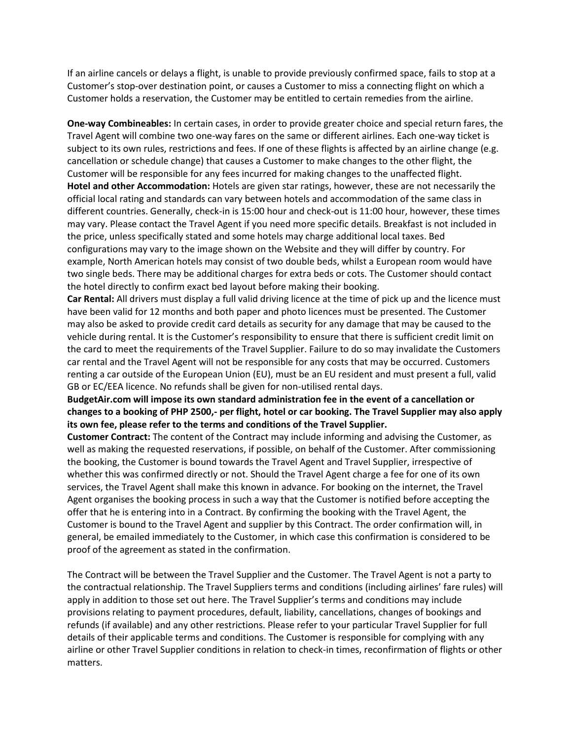If an airline cancels or delays a flight, is unable to provide previously confirmed space, fails to stop at a Customer's stop-over destination point, or causes a Customer to miss a connecting flight on which a Customer holds a reservation, the Customer may be entitled to certain remedies from the airline.

**One-way Combineables:** In certain cases, in order to provide greater choice and special return fares, the Travel Agent will combine two one-way fares on the same or different airlines. Each one-way ticket is subject to its own rules, restrictions and fees. If one of these flights is affected by an airline change (e.g. cancellation or schedule change) that causes a Customer to make changes to the other flight, the Customer will be responsible for any fees incurred for making changes to the unaffected flight. **Hotel and other Accommodation:** Hotels are given star ratings, however, these are not necessarily the official local rating and standards can vary between hotels and accommodation of the same class in different countries. Generally, check-in is 15:00 hour and check-out is 11:00 hour, however, these times may vary. Please contact the Travel Agent if you need more specific details. Breakfast is not included in the price, unless specifically stated and some hotels may charge additional local taxes. Bed configurations may vary to the image shown on the Website and they will differ by country. For example, North American hotels may consist of two double beds, whilst a European room would have two single beds. There may be additional charges for extra beds or cots. The Customer should contact the hotel directly to confirm exact bed layout before making their booking.

**Car Rental:** All drivers must display a full valid driving licence at the time of pick up and the licence must have been valid for 12 months and both paper and photo licences must be presented. The Customer may also be asked to provide credit card details as security for any damage that may be caused to the vehicle during rental. It is the Customer's responsibility to ensure that there is sufficient credit limit on the card to meet the requirements of the Travel Supplier. Failure to do so may invalidate the Customers car rental and the Travel Agent will not be responsible for any costs that may be occurred. Customers renting a car outside of the European Union (EU), must be an EU resident and must present a full, valid GB or EC/EEA licence. No refunds shall be given for non-utilised rental days.

## **BudgetAir.com will impose its own standard administration fee in the event of a cancellation or changes to a booking of PHP 2500,- per flight, hotel or car booking. The Travel Supplier may also apply its own fee, please refer to the terms and conditions of the Travel Supplier.**

**Customer Contract:** The content of the Contract may include informing and advising the Customer, as well as making the requested reservations, if possible, on behalf of the Customer. After commissioning the booking, the Customer is bound towards the Travel Agent and Travel Supplier, irrespective of whether this was confirmed directly or not. Should the Travel Agent charge a fee for one of its own services, the Travel Agent shall make this known in advance. For booking on the internet, the Travel Agent organises the booking process in such a way that the Customer is notified before accepting the offer that he is entering into in a Contract. By confirming the booking with the Travel Agent, the Customer is bound to the Travel Agent and supplier by this Contract. The order confirmation will, in general, be emailed immediately to the Customer, in which case this confirmation is considered to be proof of the agreement as stated in the confirmation.

The Contract will be between the Travel Supplier and the Customer. The Travel Agent is not a party to the contractual relationship. The Travel Suppliers terms and conditions (including airlines' fare rules) will apply in addition to those set out here. The Travel Supplier's terms and conditions may include provisions relating to payment procedures, default, liability, cancellations, changes of bookings and refunds (if available) and any other restrictions. Please refer to your particular Travel Supplier for full details of their applicable terms and conditions. The Customer is responsible for complying with any airline or other Travel Supplier conditions in relation to check-in times, reconfirmation of flights or other matters.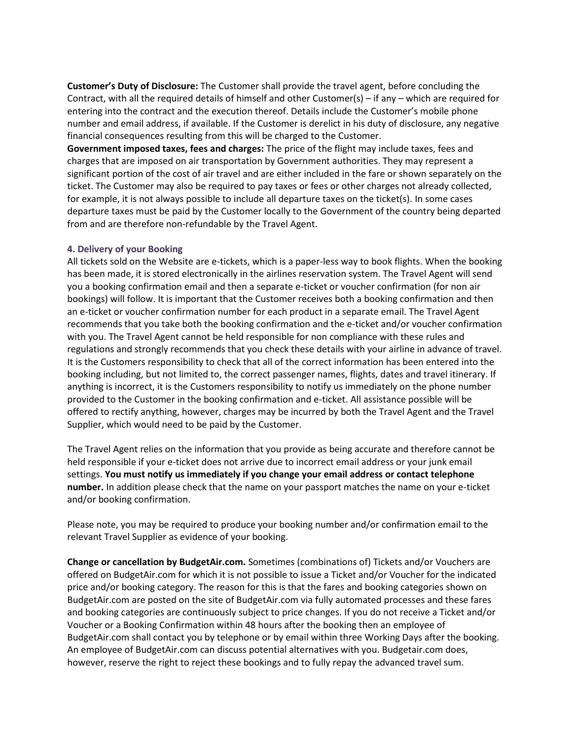**Customer's Duty of Disclosure:** The Customer shall provide the travel agent, before concluding the Contract, with all the required details of himself and other Customer(s) – if any – which are required for entering into the contract and the execution thereof. Details include the Customer's mobile phone number and email address, if available. If the Customer is derelict in his duty of disclosure, any negative financial consequences resulting from this will be charged to the Customer.

**Government imposed taxes, fees and charges:** The price of the flight may include taxes, fees and charges that are imposed on air transportation by Government authorities. They may represent a significant portion of the cost of air travel and are either included in the fare or shown separately on the ticket. The Customer may also be required to pay taxes or fees or other charges not already collected, for example, it is not always possible to include all departure taxes on the ticket(s). In some cases departure taxes must be paid by the Customer locally to the Government of the country being departed from and are therefore non-refundable by the Travel Agent.

#### **4. Delivery of your Booking**

All tickets sold on the Website are e-tickets, which is a paper-less way to book flights. When the booking has been made, it is stored electronically in the airlines reservation system. The Travel Agent will send you a booking confirmation email and then a separate e-ticket or voucher confirmation (for non air bookings) will follow. It is important that the Customer receives both a booking confirmation and then an e-ticket or voucher confirmation number for each product in a separate email. The Travel Agent recommends that you take both the booking confirmation and the e-ticket and/or voucher confirmation with you. The Travel Agent cannot be held responsible for non compliance with these rules and regulations and strongly recommends that you check these details with your airline in advance of travel. It is the Customers responsibility to check that all of the correct information has been entered into the booking including, but not limited to, the correct passenger names, flights, dates and travel itinerary. If anything is incorrect, it is the Customers responsibility to notify us immediately on the phone number provided to the Customer in the booking confirmation and e-ticket. All assistance possible will be offered to rectify anything, however, charges may be incurred by both the Travel Agent and the Travel Supplier, which would need to be paid by the Customer.

The Travel Agent relies on the information that you provide as being accurate and therefore cannot be held responsible if your e-ticket does not arrive due to incorrect email address or your junk email settings. **You must notify us immediately if you change your email address or contact telephone number.** In addition please check that the name on your passport matches the name on your e-ticket and/or booking confirmation.

Please note, you may be required to produce your booking number and/or confirmation email to the relevant Travel Supplier as evidence of your booking.

**Change or cancellation by BudgetAir.com.** Sometimes (combinations of) Tickets and/or Vouchers are offered on BudgetAir.com for which it is not possible to issue a Ticket and/or Voucher for the indicated price and/or booking category. The reason for this is that the fares and booking categories shown on BudgetAir.com are posted on the site of BudgetAir.com via fully automated processes and these fares and booking categories are continuously subject to price changes. If you do not receive a Ticket and/or Voucher or a Booking Confirmation within 48 hours after the booking then an employee of BudgetAir.com shall contact you by telephone or by email within three Working Days after the booking. An employee of BudgetAir.com can discuss potential alternatives with you. Budgetair.com does, however, reserve the right to reject these bookings and to fully repay the advanced travel sum.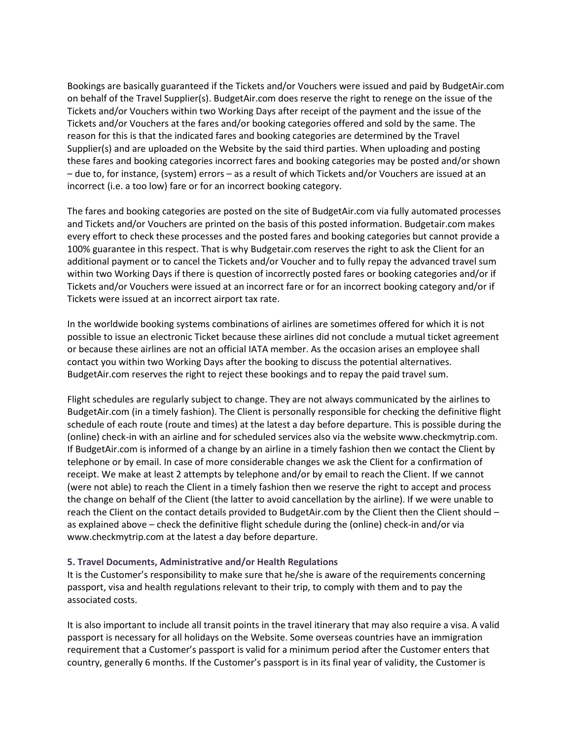Bookings are basically guaranteed if the Tickets and/or Vouchers were issued and paid by BudgetAir.com on behalf of the Travel Supplier(s). BudgetAir.com does reserve the right to renege on the issue of the Tickets and/or Vouchers within two Working Days after receipt of the payment and the issue of the Tickets and/or Vouchers at the fares and/or booking categories offered and sold by the same. The reason for this is that the indicated fares and booking categories are determined by the Travel Supplier(s) and are uploaded on the Website by the said third parties. When uploading and posting these fares and booking categories incorrect fares and booking categories may be posted and/or shown – due to, for instance, (system) errors – as a result of which Tickets and/or Vouchers are issued at an incorrect (i.e. a too low) fare or for an incorrect booking category.

The fares and booking categories are posted on the site of BudgetAir.com via fully automated processes and Tickets and/or Vouchers are printed on the basis of this posted information. Budgetair.com makes every effort to check these processes and the posted fares and booking categories but cannot provide a 100% guarantee in this respect. That is why Budgetair.com reserves the right to ask the Client for an additional payment or to cancel the Tickets and/or Voucher and to fully repay the advanced travel sum within two Working Days if there is question of incorrectly posted fares or booking categories and/or if Tickets and/or Vouchers were issued at an incorrect fare or for an incorrect booking category and/or if Tickets were issued at an incorrect airport tax rate.

In the worldwide booking systems combinations of airlines are sometimes offered for which it is not possible to issue an electronic Ticket because these airlines did not conclude a mutual ticket agreement or because these airlines are not an official IATA member. As the occasion arises an employee shall contact you within two Working Days after the booking to discuss the potential alternatives. BudgetAir.com reserves the right to reject these bookings and to repay the paid travel sum.

Flight schedules are regularly subject to change. They are not always communicated by the airlines to BudgetAir.com (in a timely fashion). The Client is personally responsible for checking the definitive flight schedule of each route (route and times) at the latest a day before departure. This is possible during the (online) check-in with an airline and for scheduled services also via the website www.checkmytrip.com. If BudgetAir.com is informed of a change by an airline in a timely fashion then we contact the Client by telephone or by email. In case of more considerable changes we ask the Client for a confirmation of receipt. We make at least 2 attempts by telephone and/or by email to reach the Client. If we cannot (were not able) to reach the Client in a timely fashion then we reserve the right to accept and process the change on behalf of the Client (the latter to avoid cancellation by the airline). If we were unable to reach the Client on the contact details provided to BudgetAir.com by the Client then the Client should – as explained above – check the definitive flight schedule during the (online) check-in and/or via www.checkmytrip.com at the latest a day before departure.

#### **5. Travel Documents, Administrative and/or Health Regulations**

It is the Customer's responsibility to make sure that he/she is aware of the requirements concerning passport, visa and health regulations relevant to their trip, to comply with them and to pay the associated costs.

It is also important to include all transit points in the travel itinerary that may also require a visa. A valid passport is necessary for all holidays on the Website. Some overseas countries have an immigration requirement that a Customer's passport is valid for a minimum period after the Customer enters that country, generally 6 months. If the Customer's passport is in its final year of validity, the Customer is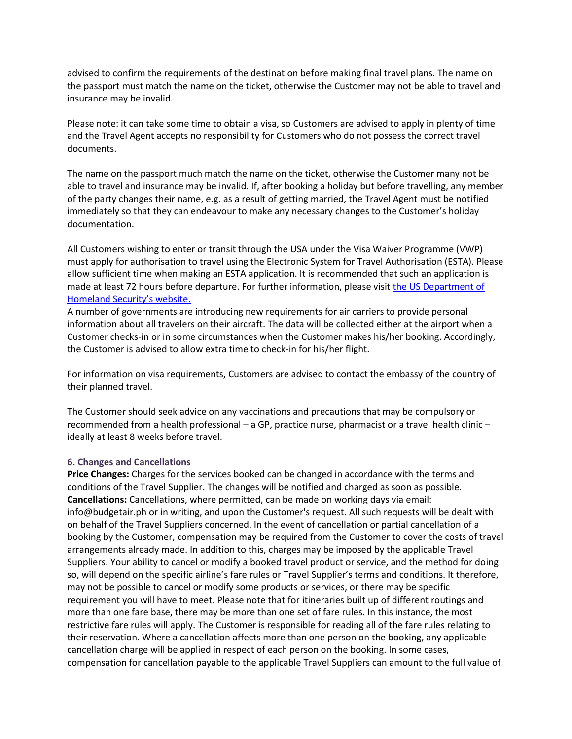advised to confirm the requirements of the destination before making final travel plans. The name on the passport must match the name on the ticket, otherwise the Customer may not be able to travel and insurance may be invalid.

Please note: it can take some time to obtain a visa, so Customers are advised to apply in plenty of time and the Travel Agent accepts no responsibility for Customers who do not possess the correct travel documents.

The name on the passport much match the name on the ticket, otherwise the Customer many not be able to travel and insurance may be invalid. If, after booking a holiday but before travelling, any member of the party changes their name, e.g. as a result of getting married, the Travel Agent must be notified immediately so that they can endeavour to make any necessary changes to the Customer's holiday documentation.

All Customers wishing to enter or transit through the USA under the Visa Waiver Programme (VWP) must apply for authorisation to travel using the Electronic System for Travel Authorisation (ESTA). Please allow sufficient time when making an ESTA application. It is recommended that such an application is made at least 72 hours before departure. For further information, please visit the US Department of [Homeland Security's website.](https://esta.cbp.dhs.gov/esta/)

A number of governments are introducing new requirements for air carriers to provide personal information about all travelers on their aircraft. The data will be collected either at the airport when a Customer checks-in or in some circumstances when the Customer makes his/her booking. Accordingly, the Customer is advised to allow extra time to check-in for his/her flight.

For information on visa requirements, Customers are advised to contact the embassy of the country of their planned travel.

The Customer should seek advice on any vaccinations and precautions that may be compulsory or recommended from a health professional – a GP, practice nurse, pharmacist or a travel health clinic – ideally at least 8 weeks before travel.

#### **6. Changes and Cancellations**

**Price Changes:** Charges for the services booked can be changed in accordance with the terms and conditions of the Travel Supplier. The changes will be notified and charged as soon as possible. **Cancellations:** Cancellations, where permitted, can be made on working days via email: info@budgetair.ph or in writing, and upon the Customer's request. All such requests will be dealt with on behalf of the Travel Suppliers concerned. In the event of cancellation or partial cancellation of a booking by the Customer, compensation may be required from the Customer to cover the costs of travel arrangements already made. In addition to this, charges may be imposed by the applicable Travel Suppliers. Your ability to cancel or modify a booked travel product or service, and the method for doing so, will depend on the specific airline's fare rules or Travel Supplier's terms and conditions. It therefore, may not be possible to cancel or modify some products or services, or there may be specific requirement you will have to meet. Please note that for itineraries built up of different routings and more than one fare base, there may be more than one set of fare rules. In this instance, the most restrictive fare rules will apply. The Customer is responsible for reading all of the fare rules relating to their reservation. Where a cancellation affects more than one person on the booking, any applicable cancellation charge will be applied in respect of each person on the booking. In some cases, compensation for cancellation payable to the applicable Travel Suppliers can amount to the full value of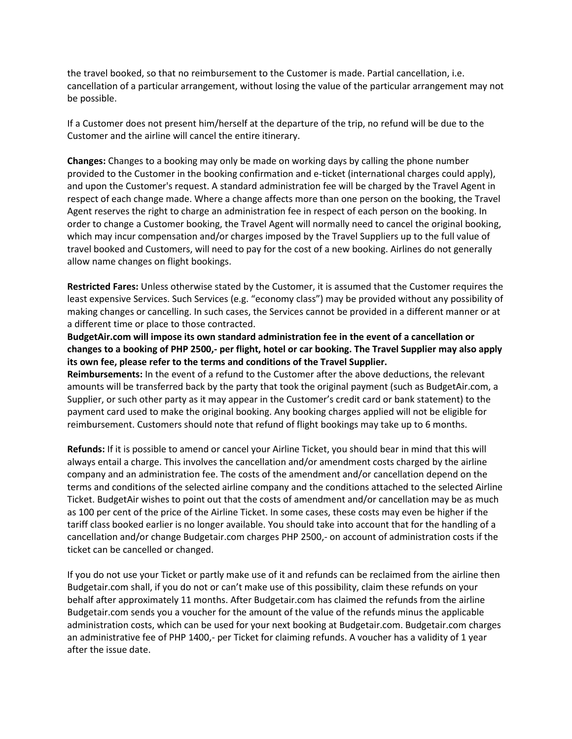the travel booked, so that no reimbursement to the Customer is made. Partial cancellation, i.e. cancellation of a particular arrangement, without losing the value of the particular arrangement may not be possible.

If a Customer does not present him/herself at the departure of the trip, no refund will be due to the Customer and the airline will cancel the entire itinerary.

**Changes:** Changes to a booking may only be made on working days by calling the phone number provided to the Customer in the booking confirmation and e-ticket (international charges could apply), and upon the Customer's request. A standard administration fee will be charged by the Travel Agent in respect of each change made. Where a change affects more than one person on the booking, the Travel Agent reserves the right to charge an administration fee in respect of each person on the booking. In order to change a Customer booking, the Travel Agent will normally need to cancel the original booking, which may incur compensation and/or charges imposed by the Travel Suppliers up to the full value of travel booked and Customers, will need to pay for the cost of a new booking. Airlines do not generally allow name changes on flight bookings.

**Restricted Fares:** Unless otherwise stated by the Customer, it is assumed that the Customer requires the least expensive Services. Such Services (e.g. "economy class") may be provided without any possibility of making changes or cancelling. In such cases, the Services cannot be provided in a different manner or at a different time or place to those contracted.

**BudgetAir.com will impose its own standard administration fee in the event of a cancellation or changes to a booking of PHP 2500,- per flight, hotel or car booking. The Travel Supplier may also apply its own fee, please refer to the terms and conditions of the Travel Supplier.** 

**Reimbursements:** In the event of a refund to the Customer after the above deductions, the relevant amounts will be transferred back by the party that took the original payment (such as BudgetAir.com, a Supplier, or such other party as it may appear in the Customer's credit card or bank statement) to the payment card used to make the original booking. Any booking charges applied will not be eligible for reimbursement. Customers should note that refund of flight bookings may take up to 6 months.

**Refunds:** If it is possible to amend or cancel your Airline Ticket, you should bear in mind that this will always entail a charge. This involves the cancellation and/or amendment costs charged by the airline company and an administration fee. The costs of the amendment and/or cancellation depend on the terms and conditions of the selected airline company and the conditions attached to the selected Airline Ticket. BudgetAir wishes to point out that the costs of amendment and/or cancellation may be as much as 100 per cent of the price of the Airline Ticket. In some cases, these costs may even be higher if the tariff class booked earlier is no longer available. You should take into account that for the handling of a cancellation and/or change Budgetair.com charges PHP 2500,- on account of administration costs if the ticket can be cancelled or changed.

If you do not use your Ticket or partly make use of it and refunds can be reclaimed from the airline then Budgetair.com shall, if you do not or can't make use of this possibility, claim these refunds on your behalf after approximately 11 months. After Budgetair.com has claimed the refunds from the airline Budgetair.com sends you a voucher for the amount of the value of the refunds minus the applicable administration costs, which can be used for your next booking at Budgetair.com. Budgetair.com charges an administrative fee of PHP 1400,- per Ticket for claiming refunds. A voucher has a validity of 1 year after the issue date.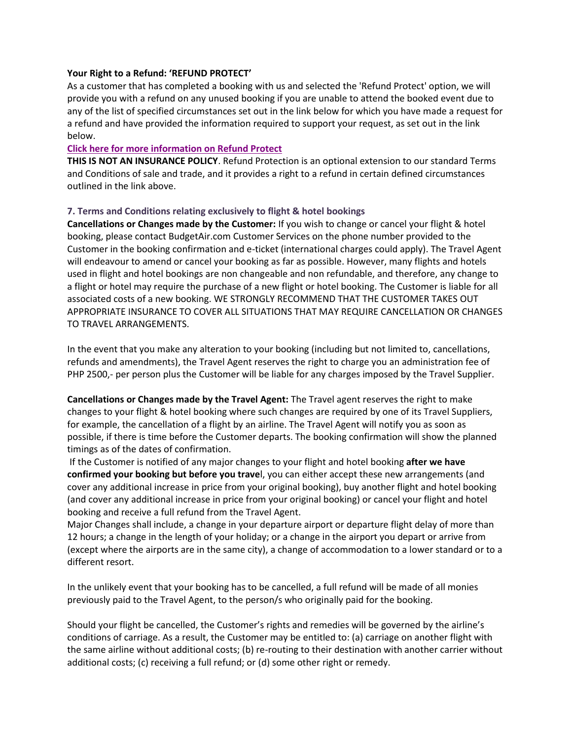#### **Your Right to a Refund: 'REFUND PROTECT'**

As a customer that has completed a booking with us and selected the 'Refund Protect' option, we will provide you with a refund on any unused booking if you are unable to attend the booked event due to any of the list of specified circumstances set out in the link below for which you have made a request for a refund and have provided the information required to support your request, as set out in the link below.

#### **[Click here for more information on Refund Protect](https://www.refundprotect.me/member-wording)**

**THIS IS NOT AN INSURANCE POLICY**. Refund Protection is an optional extension to our standard Terms and Conditions of sale and trade, and it provides a right to a refund in certain defined circumstances outlined in the link above.

## **7. Terms and Conditions relating exclusively to flight & hotel bookings**

**Cancellations or Changes made by the Customer:** If you wish to change or cancel your flight & hotel booking, please contact BudgetAir.com Customer Services on the phone number provided to the Customer in the booking confirmation and e-ticket (international charges could apply). The Travel Agent will endeavour to amend or cancel your booking as far as possible. However, many flights and hotels used in flight and hotel bookings are non changeable and non refundable, and therefore, any change to a flight or hotel may require the purchase of a new flight or hotel booking. The Customer is liable for all associated costs of a new booking. WE STRONGLY RECOMMEND THAT THE CUSTOMER TAKES OUT APPROPRIATE INSURANCE TO COVER ALL SITUATIONS THAT MAY REQUIRE CANCELLATION OR CHANGES TO TRAVEL ARRANGEMENTS.

In the event that you make any alteration to your booking (including but not limited to, cancellations, refunds and amendments), the Travel Agent reserves the right to charge you an administration fee of PHP 2500,- per person plus the Customer will be liable for any charges imposed by the Travel Supplier.

**Cancellations or Changes made by the Travel Agent:** The Travel agent reserves the right to make changes to your flight & hotel booking where such changes are required by one of its Travel Suppliers, for example, the cancellation of a flight by an airline. The Travel Agent will notify you as soon as possible, if there is time before the Customer departs. The booking confirmation will show the planned timings as of the dates of confirmation.

If the Customer is notified of any major changes to your flight and hotel booking **after we have confirmed your booking but before you trave**l, you can either accept these new arrangements (and cover any additional increase in price from your original booking), buy another flight and hotel booking (and cover any additional increase in price from your original booking) or cancel your flight and hotel booking and receive a full refund from the Travel Agent.

Major Changes shall include, a change in your departure airport or departure flight delay of more than 12 hours; a change in the length of your holiday; or a change in the airport you depart or arrive from (except where the airports are in the same city), a change of accommodation to a lower standard or to a different resort.

In the unlikely event that your booking has to be cancelled, a full refund will be made of all monies previously paid to the Travel Agent, to the person/s who originally paid for the booking.

Should your flight be cancelled, the Customer's rights and remedies will be governed by the airline's conditions of carriage. As a result, the Customer may be entitled to: (a) carriage on another flight with the same airline without additional costs; (b) re-routing to their destination with another carrier without additional costs; (c) receiving a full refund; or (d) some other right or remedy.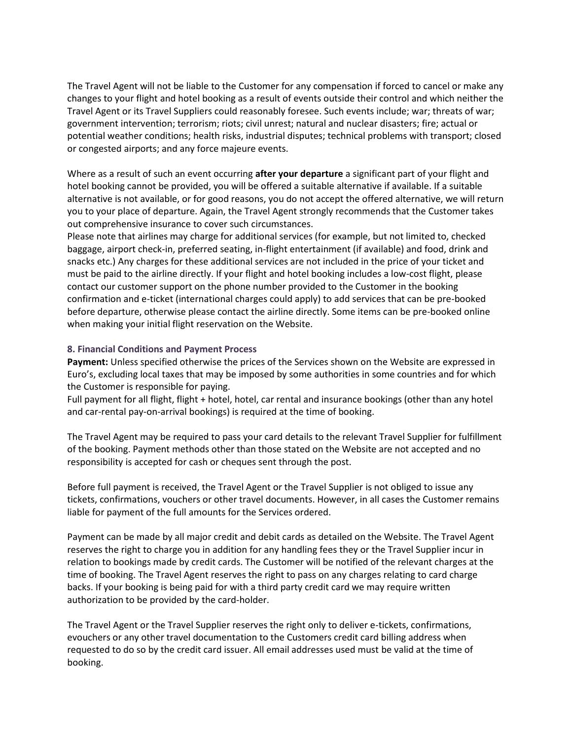The Travel Agent will not be liable to the Customer for any compensation if forced to cancel or make any changes to your flight and hotel booking as a result of events outside their control and which neither the Travel Agent or its Travel Suppliers could reasonably foresee. Such events include; war; threats of war; government intervention; terrorism; riots; civil unrest; natural and nuclear disasters; fire; actual or potential weather conditions; health risks, industrial disputes; technical problems with transport; closed or congested airports; and any force majeure events.

Where as a result of such an event occurring **after your departure** a significant part of your flight and hotel booking cannot be provided, you will be offered a suitable alternative if available. If a suitable alternative is not available, or for good reasons, you do not accept the offered alternative, we will return you to your place of departure. Again, the Travel Agent strongly recommends that the Customer takes out comprehensive insurance to cover such circumstances.

Please note that airlines may charge for additional services (for example, but not limited to, checked baggage, airport check-in, preferred seating, in-flight entertainment (if available) and food, drink and snacks etc.) Any charges for these additional services are not included in the price of your ticket and must be paid to the airline directly. If your flight and hotel booking includes a low-cost flight, please contact our customer support on the phone number provided to the Customer in the booking confirmation and e-ticket (international charges could apply) to add services that can be pre-booked before departure, otherwise please contact the airline directly. Some items can be pre-booked online when making your initial flight reservation on the Website.

## **8. Financial Conditions and Payment Process**

**Payment:** Unless specified otherwise the prices of the Services shown on the Website are expressed in Euro's, excluding local taxes that may be imposed by some authorities in some countries and for which the Customer is responsible for paying.

Full payment for all flight, flight + hotel, hotel, car rental and insurance bookings (other than any hotel and car-rental pay-on-arrival bookings) is required at the time of booking.

The Travel Agent may be required to pass your card details to the relevant Travel Supplier for fulfillment of the booking. Payment methods other than those stated on the Website are not accepted and no responsibility is accepted for cash or cheques sent through the post.

Before full payment is received, the Travel Agent or the Travel Supplier is not obliged to issue any tickets, confirmations, vouchers or other travel documents. However, in all cases the Customer remains liable for payment of the full amounts for the Services ordered.

Payment can be made by all major credit and debit cards as detailed on the Website. The Travel Agent reserves the right to charge you in addition for any handling fees they or the Travel Supplier incur in relation to bookings made by credit cards. The Customer will be notified of the relevant charges at the time of booking. The Travel Agent reserves the right to pass on any charges relating to card charge backs. If your booking is being paid for with a third party credit card we may require written authorization to be provided by the card-holder.

The Travel Agent or the Travel Supplier reserves the right only to deliver e-tickets, confirmations, evouchers or any other travel documentation to the Customers credit card billing address when requested to do so by the credit card issuer. All email addresses used must be valid at the time of booking.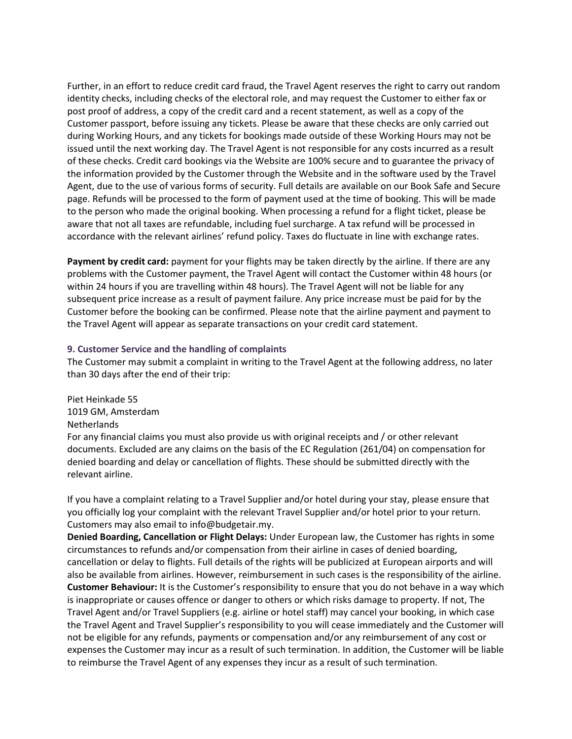Further, in an effort to reduce credit card fraud, the Travel Agent reserves the right to carry out random identity checks, including checks of the electoral role, and may request the Customer to either fax or post proof of address, a copy of the credit card and a recent statement, as well as a copy of the Customer passport, before issuing any tickets. Please be aware that these checks are only carried out during Working Hours, and any tickets for bookings made outside of these Working Hours may not be issued until the next working day. The Travel Agent is not responsible for any costs incurred as a result of these checks. Credit card bookings via the Website are 100% secure and to guarantee the privacy of the information provided by the Customer through the Website and in the software used by the Travel Agent, due to the use of various forms of security. Full details are available on our Book Safe and Secure page. Refunds will be processed to the form of payment used at the time of booking. This will be made to the person who made the original booking. When processing a refund for a flight ticket, please be aware that not all taxes are refundable, including fuel surcharge. A tax refund will be processed in accordance with the relevant airlines' refund policy. Taxes do fluctuate in line with exchange rates.

**Payment by credit card:** payment for your flights may be taken directly by the airline. If there are any problems with the Customer payment, the Travel Agent will contact the Customer within 48 hours (or within 24 hours if you are travelling within 48 hours). The Travel Agent will not be liable for any subsequent price increase as a result of payment failure. Any price increase must be paid for by the Customer before the booking can be confirmed. Please note that the airline payment and payment to the Travel Agent will appear as separate transactions on your credit card statement.

## **9. Customer Service and the handling of complaints**

The Customer may submit a complaint in writing to the Travel Agent at the following address, no later than 30 days after the end of their trip:

Piet Heinkade 55 1019 GM, Amsterdam Netherlands For any financial claims you must also provide us with original receipts and / or other relevant documents. Excluded are any claims on the basis of the EC Regulation (261/04) on compensation for denied boarding and delay or cancellation of flights. These should be submitted directly with the relevant airline.

If you have a complaint relating to a Travel Supplier and/or hotel during your stay, please ensure that you officially log your complaint with the relevant Travel Supplier and/or hotel prior to your return. Customers may also email to info@budgetair.my.

**Denied Boarding, Cancellation or Flight Delays:** Under European law, the Customer has rights in some circumstances to refunds and/or compensation from their airline in cases of denied boarding, cancellation or delay to flights. Full details of the rights will be publicized at European airports and will also be available from airlines. However, reimbursement in such cases is the responsibility of the airline. **Customer Behaviour:** It is the Customer's responsibility to ensure that you do not behave in a way which is inappropriate or causes offence or danger to others or which risks damage to property. If not, The Travel Agent and/or Travel Suppliers (e.g. airline or hotel staff) may cancel your booking, in which case the Travel Agent and Travel Supplier's responsibility to you will cease immediately and the Customer will not be eligible for any refunds, payments or compensation and/or any reimbursement of any cost or expenses the Customer may incur as a result of such termination. In addition, the Customer will be liable to reimburse the Travel Agent of any expenses they incur as a result of such termination.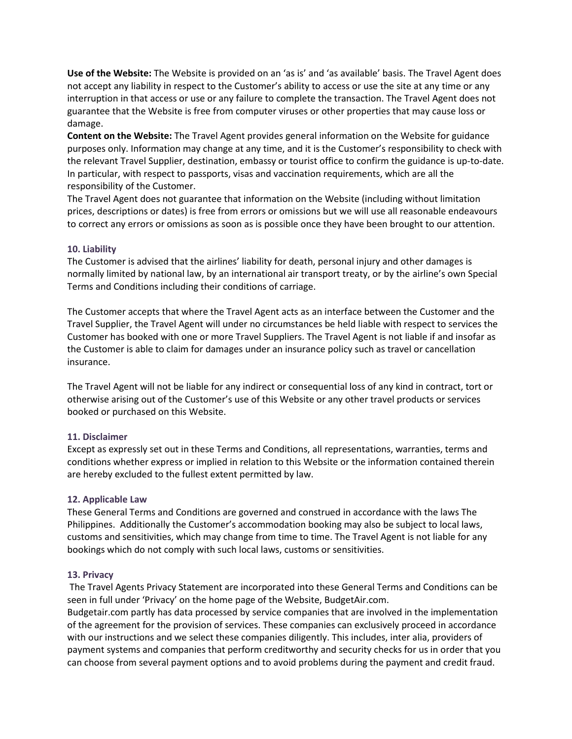**Use of the Website:** The Website is provided on an 'as is' and 'as available' basis. The Travel Agent does not accept any liability in respect to the Customer's ability to access or use the site at any time or any interruption in that access or use or any failure to complete the transaction. The Travel Agent does not guarantee that the Website is free from computer viruses or other properties that may cause loss or damage.

**Content on the Website:** The Travel Agent provides general information on the Website for guidance purposes only. Information may change at any time, and it is the Customer's responsibility to check with the relevant Travel Supplier, destination, embassy or tourist office to confirm the guidance is up-to-date. In particular, with respect to passports, visas and vaccination requirements, which are all the responsibility of the Customer.

The Travel Agent does not guarantee that information on the Website (including without limitation prices, descriptions or dates) is free from errors or omissions but we will use all reasonable endeavours to correct any errors or omissions as soon as is possible once they have been brought to our attention.

## **10. Liability**

The Customer is advised that the airlines' liability for death, personal injury and other damages is normally limited by national law, by an international air transport treaty, or by the airline's own Special Terms and Conditions including their conditions of carriage.

The Customer accepts that where the Travel Agent acts as an interface between the Customer and the Travel Supplier, the Travel Agent will under no circumstances be held liable with respect to services the Customer has booked with one or more Travel Suppliers. The Travel Agent is not liable if and insofar as the Customer is able to claim for damages under an insurance policy such as travel or cancellation insurance.

The Travel Agent will not be liable for any indirect or consequential loss of any kind in contract, tort or otherwise arising out of the Customer's use of this Website or any other travel products or services booked or purchased on this Website.

#### **11. Disclaimer**

Except as expressly set out in these Terms and Conditions, all representations, warranties, terms and conditions whether express or implied in relation to this Website or the information contained therein are hereby excluded to the fullest extent permitted by law.

## **12. Applicable Law**

These General Terms and Conditions are governed and construed in accordance with the laws The Philippines. Additionally the Customer's accommodation booking may also be subject to local laws, customs and sensitivities, which may change from time to time. The Travel Agent is not liable for any bookings which do not comply with such local laws, customs or sensitivities.

#### **13. Privacy**

The Travel Agents Privacy Statement are incorporated into these General Terms and Conditions can be seen in full under 'Privacy' on the home page of the Website, BudgetAir.com.

Budgetair.com partly has data processed by service companies that are involved in the implementation of the agreement for the provision of services. These companies can exclusively proceed in accordance with our instructions and we select these companies diligently. This includes, inter alia, providers of payment systems and companies that perform creditworthy and security checks for us in order that you can choose from several payment options and to avoid problems during the payment and credit fraud.